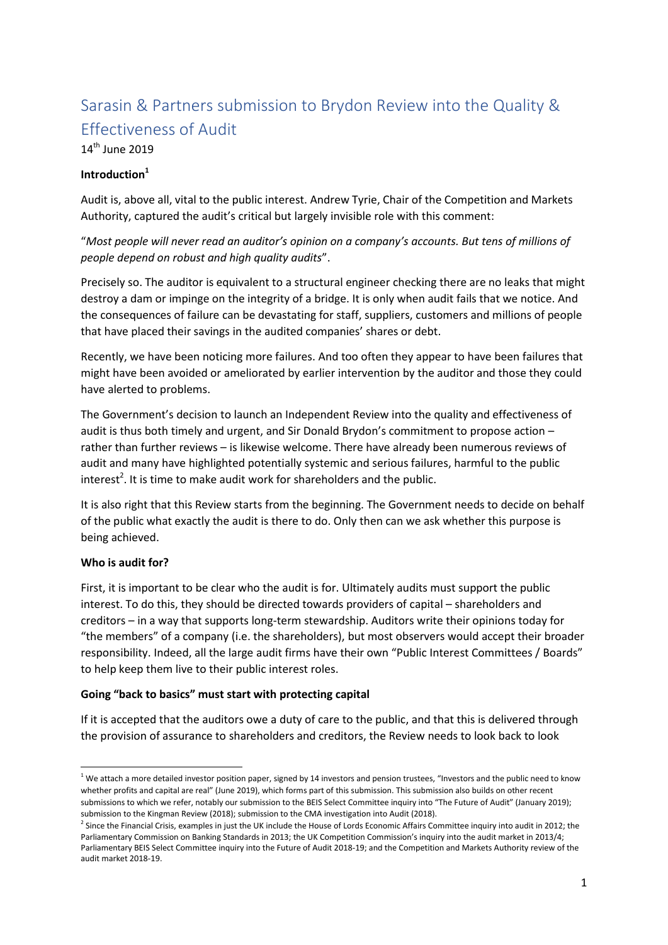# Sarasin & Partners submission to Brydon Review into the Quality & Effectiveness of Audit

# $14<sup>th</sup>$  June 2019

#### **Introduction<sup>1</sup>**

Audit is, above all, vital to the public interest. Andrew Tyrie, Chair of the Competition and Markets Authority, captured the audit's critical but largely invisible role with this comment:

# "*Most people will never read an auditor's opinion on a company's accounts. But tens of millions of people depend on robust and high quality audits*".

Precisely so. The auditor is equivalent to a structural engineer checking there are no leaks that might destroy a dam or impinge on the integrity of a bridge. It is only when audit fails that we notice. And the consequences of failure can be devastating for staff, suppliers, customers and millions of people that have placed their savings in the audited companies' shares or debt.

Recently, we have been noticing more failures. And too often they appear to have been failures that might have been avoided or ameliorated by earlier intervention by the auditor and those they could have alerted to problems.

The Government's decision to launch an Independent Review into the quality and effectiveness of audit is thus both timely and urgent, and Sir Donald Brydon's commitment to propose action – rather than further reviews – is likewise welcome. There have already been numerous reviews of audit and many have highlighted potentially systemic and serious failures, harmful to the public interest<sup>2</sup>. It is time to make audit work for shareholders and the public.

It is also right that this Review starts from the beginning. The Government needs to decide on behalf of the public what exactly the audit is there to do. Only then can we ask whether this purpose is being achieved.

#### **Who is audit for?**

**.** 

First, it is important to be clear who the audit is for. Ultimately audits must support the public interest. To do this, they should be directed towards providers of capital – shareholders and creditors – in a way that supports long-term stewardship. Auditors write their opinions today for "the members" of a company (i.e. the shareholders), but most observers would accept their broader responsibility. Indeed, all the large audit firms have their own "Public Interest Committees / Boards" to help keep them live to their public interest roles.

#### **Going "back to basics" must start with protecting capital**

If it is accepted that the auditors owe a duty of care to the public, and that this is delivered through the provision of assurance to shareholders and creditors, the Review needs to look back to look

 $1$  We attach a more detailed investor position paper, signed by 14 investors and pension trustees, "Investors and the public need to know whether profits and capital are real" (June 2019), which forms part of this submission. This submission also builds on other recent submissions to which we refer, notably our submission to the BEIS Select Committee inquiry into "The Future of Audit" (January 2019); submission to the Kingman Review (2018); submission to the CMA investigation into Audit (2018).

 $^2$  Since the Financial Crisis, examples in just the UK include the House of Lords Economic Affairs Committee inquiry into audit in 2012; the Parliamentary Commission on Banking Standards in 2013; the UK Competition Commission's inquiry into the audit market in 2013/4; Parliamentary BEIS Select Committee inquiry into the Future of Audit 2018-19; and the Competition and Markets Authority review of the audit market 2018-19.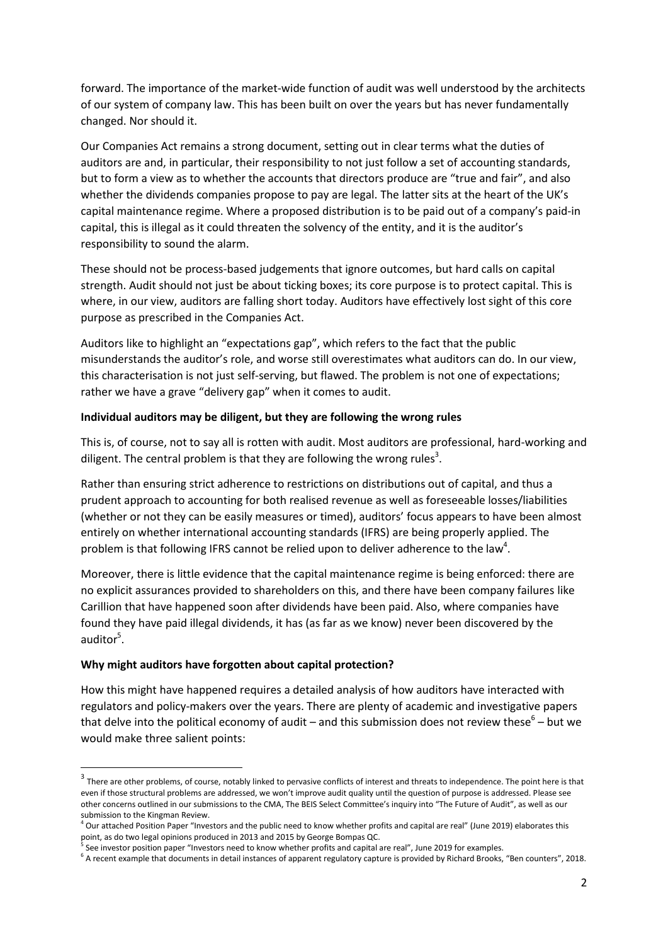forward. The importance of the market-wide function of audit was well understood by the architects of our system of company law. This has been built on over the years but has never fundamentally changed. Nor should it.

Our Companies Act remains a strong document, setting out in clear terms what the duties of auditors are and, in particular, their responsibility to not just follow a set of accounting standards, but to form a view as to whether the accounts that directors produce are "true and fair", and also whether the dividends companies propose to pay are legal. The latter sits at the heart of the UK's capital maintenance regime. Where a proposed distribution is to be paid out of a company's paid-in capital, this is illegal as it could threaten the solvency of the entity, and it is the auditor's responsibility to sound the alarm.

These should not be process-based judgements that ignore outcomes, but hard calls on capital strength. Audit should not just be about ticking boxes; its core purpose is to protect capital. This is where, in our view, auditors are falling short today. Auditors have effectively lost sight of this core purpose as prescribed in the Companies Act.

Auditors like to highlight an "expectations gap", which refers to the fact that the public misunderstands the auditor's role, and worse still overestimates what auditors can do. In our view, this characterisation is not just self-serving, but flawed. The problem is not one of expectations; rather we have a grave "delivery gap" when it comes to audit.

#### **Individual auditors may be diligent, but they are following the wrong rules**

This is, of course, not to say all is rotten with audit. Most auditors are professional, hard-working and diligent. The central problem is that they are following the wrong rules<sup>3</sup>.

Rather than ensuring strict adherence to restrictions on distributions out of capital, and thus a prudent approach to accounting for both realised revenue as well as foreseeable losses/liabilities (whether or not they can be easily measures or timed), auditors' focus appears to have been almost entirely on whether international accounting standards (IFRS) are being properly applied. The problem is that following IFRS cannot be relied upon to deliver adherence to the law<sup>4</sup>.

Moreover, there is little evidence that the capital maintenance regime is being enforced: there are no explicit assurances provided to shareholders on this, and there have been company failures like Carillion that have happened soon after dividends have been paid. Also, where companies have found they have paid illegal dividends, it has (as far as we know) never been discovered by the auditor<sup>5</sup>.

#### **Why might auditors have forgotten about capital protection?**

**.** 

How this might have happened requires a detailed analysis of how auditors have interacted with regulators and policy-makers over the years. There are plenty of academic and investigative papers that delve into the political economy of audit – and this submission does not review these<sup>6</sup> – but we would make three salient points:

 $3$  There are other problems, of course, notably linked to pervasive conflicts of interest and threats to independence. The point here is that even if those structural problems are addressed, we won't improve audit quality until the question of purpose is addressed. Please see other concerns outlined in our submissions to the CMA, The BEIS Select Committee's inquiry into "The Future of Audit", as well as our submission to the Kingman Review.

 $4$  Our attached Position Paper "Investors and the public need to know whether profits and capital are real" (June 2019) elaborates this point, as do two legal opinions produced in 2013 and 2015 by George Bompas QC.<br><sup>5</sup> See investor position paper "Investors need to know whether profits and capital are real", June 2019 for examples.

<sup>&</sup>lt;sup>6</sup> A recent example that documents in detail instances of apparent regulatory capture is provided by Richard Brooks, "Ben counters", 2018.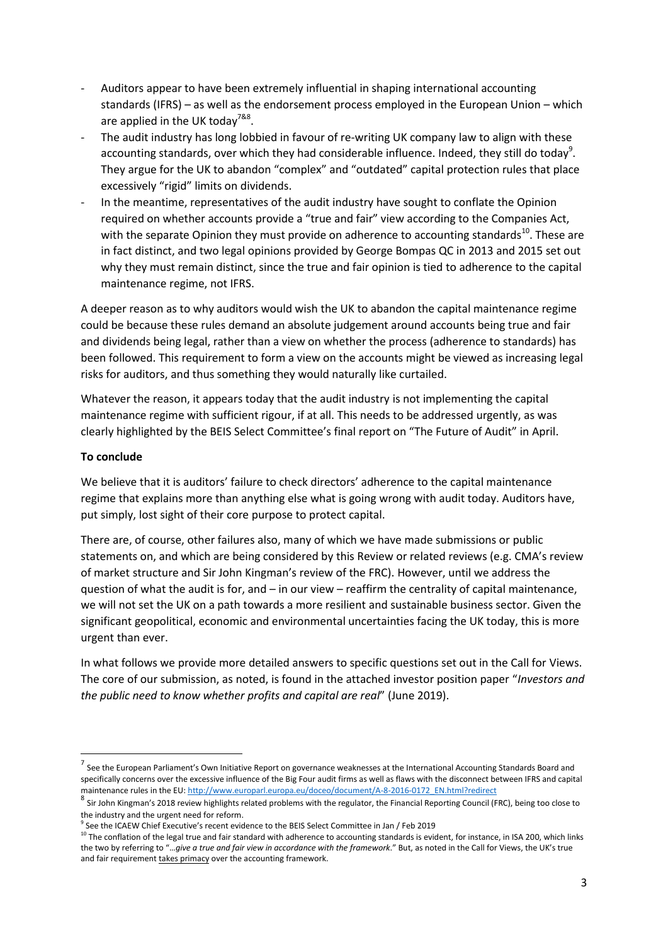- Auditors appear to have been extremely influential in shaping international accounting standards (IFRS) – as well as the endorsement process employed in the European Union – which are applied in the UK today<sup>7&8</sup>.
- The audit industry has long lobbied in favour of re-writing UK company law to align with these accounting standards, over which they had considerable influence. Indeed, they still do today<sup>9</sup>. They argue for the UK to abandon "complex" and "outdated" capital protection rules that place excessively "rigid" limits on dividends.
- In the meantime, representatives of the audit industry have sought to conflate the Opinion required on whether accounts provide a "true and fair" view according to the Companies Act, with the separate Opinion they must provide on adherence to accounting standards<sup>10</sup>. These are in fact distinct, and two legal opinions provided by George Bompas QC in 2013 and 2015 set out why they must remain distinct, since the true and fair opinion is tied to adherence to the capital maintenance regime, not IFRS.

A deeper reason as to why auditors would wish the UK to abandon the capital maintenance regime could be because these rules demand an absolute judgement around accounts being true and fair and dividends being legal, rather than a view on whether the process (adherence to standards) has been followed. This requirement to form a view on the accounts might be viewed as increasing legal risks for auditors, and thus something they would naturally like curtailed.

Whatever the reason, it appears today that the audit industry is not implementing the capital maintenance regime with sufficient rigour, if at all. This needs to be addressed urgently, as was clearly highlighted by the BEIS Select Committee's final report on "The Future of Audit" in April.

#### **To conclude**

**.** 

We believe that it is auditors' failure to check directors' adherence to the capital maintenance regime that explains more than anything else what is going wrong with audit today. Auditors have, put simply, lost sight of their core purpose to protect capital.

There are, of course, other failures also, many of which we have made submissions or public statements on, and which are being considered by this Review or related reviews (e.g. CMA's review of market structure and Sir John Kingman's review of the FRC). However, until we address the question of what the audit is for, and – in our view – reaffirm the centrality of capital maintenance, we will not set the UK on a path towards a more resilient and sustainable business sector. Given the significant geopolitical, economic and environmental uncertainties facing the UK today, this is more urgent than ever.

In what follows we provide more detailed answers to specific questions set out in the Call for Views. The core of our submission, as noted, is found in the attached investor position paper "*Investors and the public need to know whether profits and capital are real*" (June 2019).

<sup>&</sup>lt;sup>7</sup> See the European Parliament's Own Initiative Report on governance weaknesses at the International Accounting Standards Board and specifically concerns over the excessive influence of the Big Four audit firms as well as flaws with the disconnect between IFRS and capital maintenance rules in the EU[: http://www.europarl.europa.eu/doceo/document/A-8-2016-0172\\_EN.html?redirect](http://www.europarl.europa.eu/doceo/document/A-8-2016-0172_EN.html?redirect)

<sup>&</sup>lt;sup>8</sup> Sir John Kingman's 2018 review highlights related problems with the regulator, the Financial Reporting Council (FRC), being too close to the industry and the urgent need for reform.

<sup>9</sup> See the ICAEW Chief Executive's recent evidence to the BEIS Select Committee in Jan / Feb 2019

 $10$  The conflation of the legal true and fair standard with adherence to accounting standards is evident, for instance, in ISA 200, which links the two by referring to "…*give a true and fair view in accordance with the framework*." But, as noted in the Call for Views, the UK's true and fair requirement takes primacy over the accounting framework.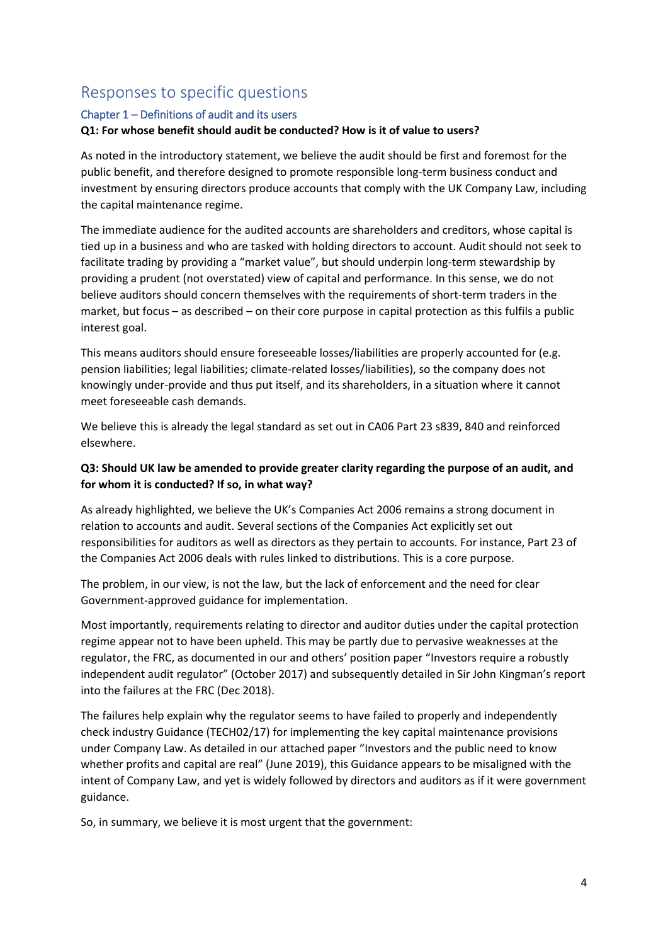# Responses to specific questions

# Chapter 1 – Definitions of audit and its users **Q1: For whose benefit should audit be conducted? How is it of value to users?**

As noted in the introductory statement, we believe the audit should be first and foremost for the public benefit, and therefore designed to promote responsible long-term business conduct and investment by ensuring directors produce accounts that comply with the UK Company Law, including the capital maintenance regime.

The immediate audience for the audited accounts are shareholders and creditors, whose capital is tied up in a business and who are tasked with holding directors to account. Audit should not seek to facilitate trading by providing a "market value", but should underpin long-term stewardship by providing a prudent (not overstated) view of capital and performance. In this sense, we do not believe auditors should concern themselves with the requirements of short-term traders in the market, but focus – as described – on their core purpose in capital protection as this fulfils a public interest goal.

This means auditors should ensure foreseeable losses/liabilities are properly accounted for (e.g. pension liabilities; legal liabilities; climate-related losses/liabilities), so the company does not knowingly under-provide and thus put itself, and its shareholders, in a situation where it cannot meet foreseeable cash demands.

We believe this is already the legal standard as set out in CA06 Part 23 s839, 840 and reinforced elsewhere.

## **Q3: Should UK law be amended to provide greater clarity regarding the purpose of an audit, and for whom it is conducted? If so, in what way?**

As already highlighted, we believe the UK's Companies Act 2006 remains a strong document in relation to accounts and audit. Several sections of the Companies Act explicitly set out responsibilities for auditors as well as directors as they pertain to accounts. For instance, Part 23 of the Companies Act 2006 deals with rules linked to distributions. This is a core purpose.

The problem, in our view, is not the law, but the lack of enforcement and the need for clear Government-approved guidance for implementation.

Most importantly, requirements relating to director and auditor duties under the capital protection regime appear not to have been upheld. This may be partly due to pervasive weaknesses at the regulator, the FRC, as documented in our and others' position paper "Investors require a robustly independent audit regulator" (October 2017) and subsequently detailed in Sir John Kingman's report into the failures at the FRC (Dec 2018).

The failures help explain why the regulator seems to have failed to properly and independently check industry Guidance (TECH02/17) for implementing the key capital maintenance provisions under Company Law. As detailed in our attached paper "Investors and the public need to know whether profits and capital are real" (June 2019), this Guidance appears to be misaligned with the intent of Company Law, and yet is widely followed by directors and auditors as if it were government guidance.

So, in summary, we believe it is most urgent that the government: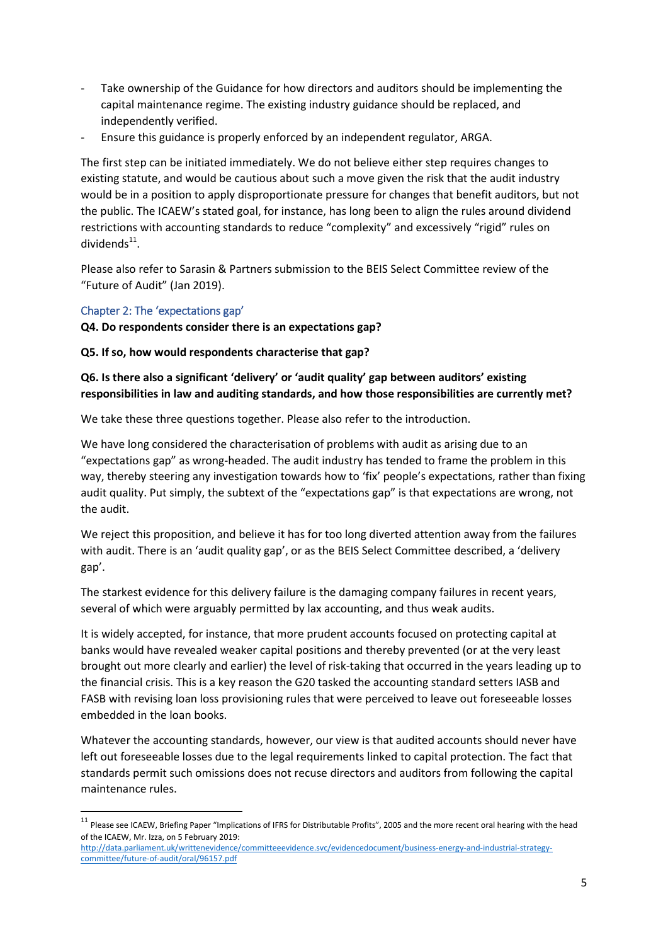- Take ownership of the Guidance for how directors and auditors should be implementing the capital maintenance regime. The existing industry guidance should be replaced, and independently verified.
- Ensure this guidance is properly enforced by an independent regulator, ARGA.

The first step can be initiated immediately. We do not believe either step requires changes to existing statute, and would be cautious about such a move given the risk that the audit industry would be in a position to apply disproportionate pressure for changes that benefit auditors, but not the public. The ICAEW's stated goal, for instance, has long been to align the rules around dividend restrictions with accounting standards to reduce "complexity" and excessively "rigid" rules on dividends<sup>11</sup>.

Please also refer to Sarasin & Partners submission to the BEIS Select Committee review of the "Future of Audit" (Jan 2019).

#### Chapter 2: The 'expectations gap'

**.** 

**Q4. Do respondents consider there is an expectations gap?**

**Q5. If so, how would respondents characterise that gap?**

## **Q6. Is there also a significant 'delivery' or 'audit quality' gap between auditors' existing responsibilities in law and auditing standards, and how those responsibilities are currently met?**

We take these three questions together. Please also refer to the introduction.

We have long considered the characterisation of problems with audit as arising due to an "expectations gap" as wrong-headed. The audit industry has tended to frame the problem in this way, thereby steering any investigation towards how to 'fix' people's expectations, rather than fixing audit quality. Put simply, the subtext of the "expectations gap" is that expectations are wrong, not the audit.

We reject this proposition, and believe it has for too long diverted attention away from the failures with audit. There is an 'audit quality gap', or as the BEIS Select Committee described, a 'delivery gap'.

The starkest evidence for this delivery failure is the damaging company failures in recent years, several of which were arguably permitted by lax accounting, and thus weak audits.

It is widely accepted, for instance, that more prudent accounts focused on protecting capital at banks would have revealed weaker capital positions and thereby prevented (or at the very least brought out more clearly and earlier) the level of risk-taking that occurred in the years leading up to the financial crisis. This is a key reason the G20 tasked the accounting standard setters IASB and FASB with revising loan loss provisioning rules that were perceived to leave out foreseeable losses embedded in the loan books.

Whatever the accounting standards, however, our view is that audited accounts should never have left out foreseeable losses due to the legal requirements linked to capital protection. The fact that standards permit such omissions does not recuse directors and auditors from following the capital maintenance rules.

<sup>&</sup>lt;sup>11</sup> Please see ICAEW, Briefing Paper "Implications of IFRS for Distributable Profits", 2005 and the more recent oral hearing with the head of the ICAEW, Mr. Izza, on 5 February 2019:

[http://data.parliament.uk/writtenevidence/committeeevidence.svc/evidencedocument/business-energy-and-industrial-strategy](http://data.parliament.uk/writtenevidence/committeeevidence.svc/evidencedocument/business-energy-and-industrial-strategy-committee/future-of-audit/oral/96157.pdf)[committee/future-of-audit/oral/96157.pdf](http://data.parliament.uk/writtenevidence/committeeevidence.svc/evidencedocument/business-energy-and-industrial-strategy-committee/future-of-audit/oral/96157.pdf)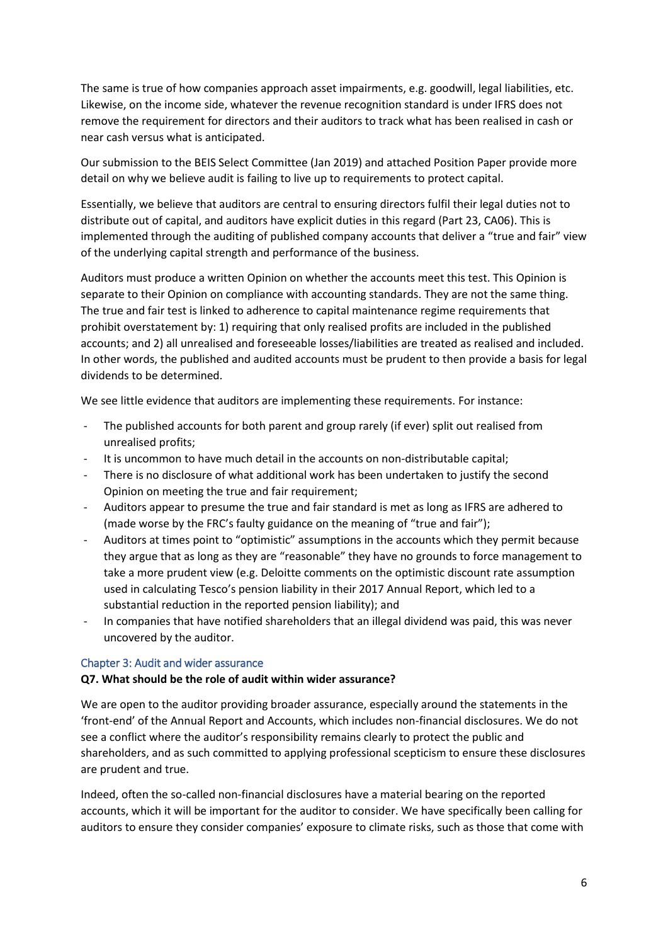The same is true of how companies approach asset impairments, e.g. goodwill, legal liabilities, etc. Likewise, on the income side, whatever the revenue recognition standard is under IFRS does not remove the requirement for directors and their auditors to track what has been realised in cash or near cash versus what is anticipated.

Our submission to the BEIS Select Committee (Jan 2019) and attached Position Paper provide more detail on why we believe audit is failing to live up to requirements to protect capital.

Essentially, we believe that auditors are central to ensuring directors fulfil their legal duties not to distribute out of capital, and auditors have explicit duties in this regard (Part 23, CA06). This is implemented through the auditing of published company accounts that deliver a "true and fair" view of the underlying capital strength and performance of the business.

Auditors must produce a written Opinion on whether the accounts meet this test. This Opinion is separate to their Opinion on compliance with accounting standards. They are not the same thing. The true and fair test is linked to adherence to capital maintenance regime requirements that prohibit overstatement by: 1) requiring that only realised profits are included in the published accounts; and 2) all unrealised and foreseeable losses/liabilities are treated as realised and included. In other words, the published and audited accounts must be prudent to then provide a basis for legal dividends to be determined.

We see little evidence that auditors are implementing these requirements. For instance:

- The published accounts for both parent and group rarely (if ever) split out realised from unrealised profits;
- It is uncommon to have much detail in the accounts on non-distributable capital;
- There is no disclosure of what additional work has been undertaken to justify the second Opinion on meeting the true and fair requirement;
- Auditors appear to presume the true and fair standard is met as long as IFRS are adhered to (made worse by the FRC's faulty guidance on the meaning of "true and fair");
- Auditors at times point to "optimistic" assumptions in the accounts which they permit because they argue that as long as they are "reasonable" they have no grounds to force management to take a more prudent view (e.g. Deloitte comments on the optimistic discount rate assumption used in calculating Tesco's pension liability in their 2017 Annual Report, which led to a substantial reduction in the reported pension liability); and
- In companies that have notified shareholders that an illegal dividend was paid, this was never uncovered by the auditor.

#### Chapter 3: Audit and wider assurance

#### **Q7. What should be the role of audit within wider assurance?**

We are open to the auditor providing broader assurance, especially around the statements in the 'front-end' of the Annual Report and Accounts, which includes non-financial disclosures. We do not see a conflict where the auditor's responsibility remains clearly to protect the public and shareholders, and as such committed to applying professional scepticism to ensure these disclosures are prudent and true.

Indeed, often the so-called non-financial disclosures have a material bearing on the reported accounts, which it will be important for the auditor to consider. We have specifically been calling for auditors to ensure they consider companies' exposure to climate risks, such as those that come with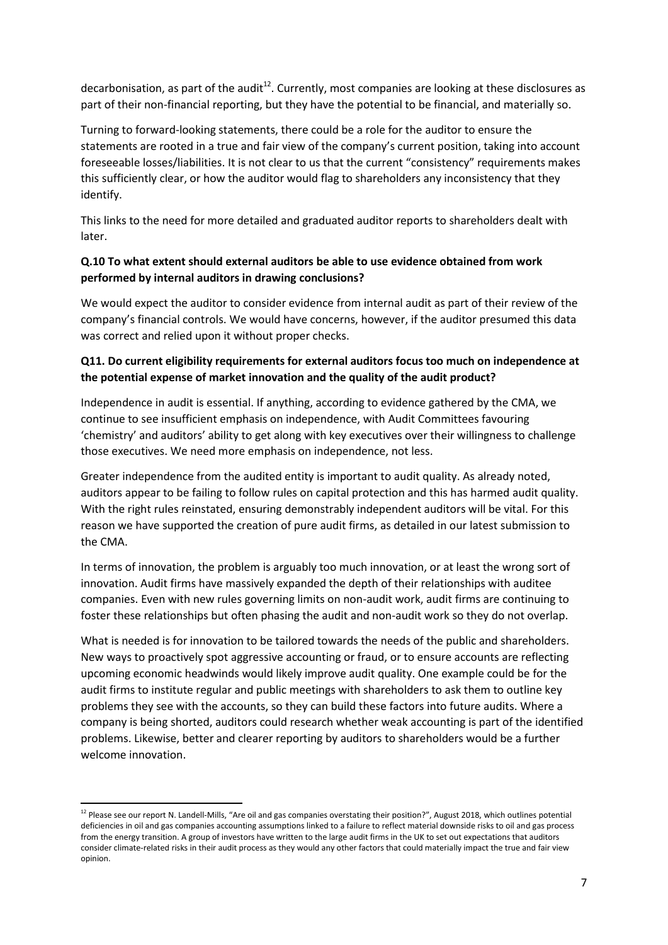decarbonisation, as part of the audit<sup>12</sup>. Currently, most companies are looking at these disclosures as part of their non-financial reporting, but they have the potential to be financial, and materially so.

Turning to forward-looking statements, there could be a role for the auditor to ensure the statements are rooted in a true and fair view of the company's current position, taking into account foreseeable losses/liabilities. It is not clear to us that the current "consistency" requirements makes this sufficiently clear, or how the auditor would flag to shareholders any inconsistency that they identify.

This links to the need for more detailed and graduated auditor reports to shareholders dealt with later.

#### **Q.10 To what extent should external auditors be able to use evidence obtained from work performed by internal auditors in drawing conclusions?**

We would expect the auditor to consider evidence from internal audit as part of their review of the company's financial controls. We would have concerns, however, if the auditor presumed this data was correct and relied upon it without proper checks.

# **Q11. Do current eligibility requirements for external auditors focus too much on independence at the potential expense of market innovation and the quality of the audit product?**

Independence in audit is essential. If anything, according to evidence gathered by the CMA, we continue to see insufficient emphasis on independence, with Audit Committees favouring 'chemistry' and auditors' ability to get along with key executives over their willingness to challenge those executives. We need more emphasis on independence, not less.

Greater independence from the audited entity is important to audit quality. As already noted, auditors appear to be failing to follow rules on capital protection and this has harmed audit quality. With the right rules reinstated, ensuring demonstrably independent auditors will be vital. For this reason we have supported the creation of pure audit firms, as detailed in our latest submission to the CMA.

In terms of innovation, the problem is arguably too much innovation, or at least the wrong sort of innovation. Audit firms have massively expanded the depth of their relationships with auditee companies. Even with new rules governing limits on non-audit work, audit firms are continuing to foster these relationships but often phasing the audit and non-audit work so they do not overlap.

What is needed is for innovation to be tailored towards the needs of the public and shareholders. New ways to proactively spot aggressive accounting or fraud, or to ensure accounts are reflecting upcoming economic headwinds would likely improve audit quality. One example could be for the audit firms to institute regular and public meetings with shareholders to ask them to outline key problems they see with the accounts, so they can build these factors into future audits. Where a company is being shorted, auditors could research whether weak accounting is part of the identified problems. Likewise, better and clearer reporting by auditors to shareholders would be a further welcome innovation.

**.** 

<sup>&</sup>lt;sup>12</sup> Please see our report N. Landell-Mills, "Are oil and gas companies overstating their position?", August 2018, which outlines potential deficiencies in oil and gas companies accounting assumptions linked to a failure to reflect material downside risks to oil and gas process from the energy transition. A group of investors have written to the large audit firms in the UK to set out expectations that auditors consider climate-related risks in their audit process as they would any other factors that could materially impact the true and fair view opinion.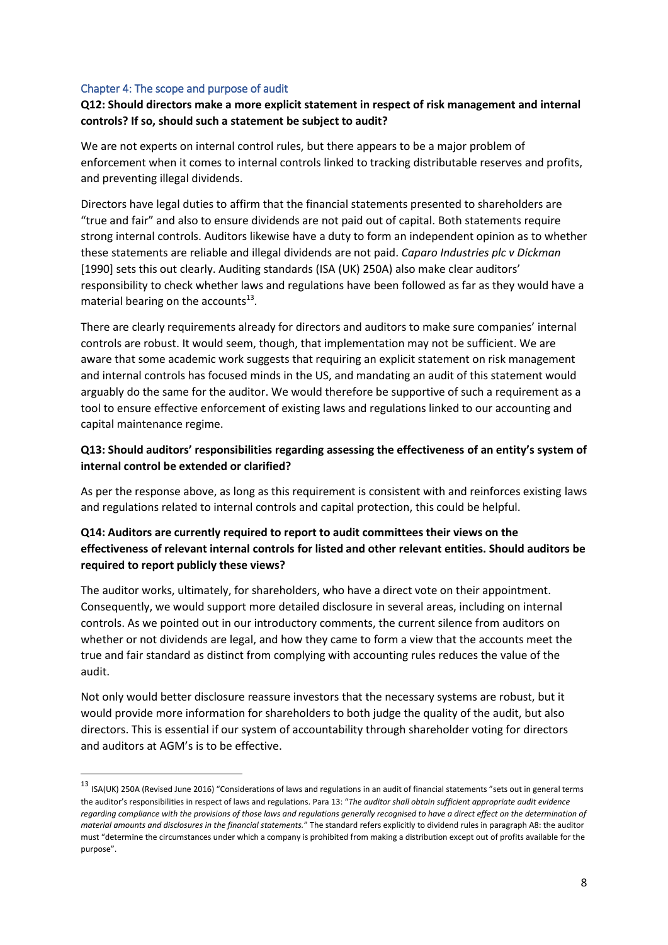#### Chapter 4: The scope and purpose of audit

**.** 

## **Q12: Should directors make a more explicit statement in respect of risk management and internal controls? If so, should such a statement be subject to audit?**

We are not experts on internal control rules, but there appears to be a major problem of enforcement when it comes to internal controls linked to tracking distributable reserves and profits, and preventing illegal dividends.

Directors have legal duties to affirm that the financial statements presented to shareholders are "true and fair" and also to ensure dividends are not paid out of capital. Both statements require strong internal controls. Auditors likewise have a duty to form an independent opinion as to whether these statements are reliable and illegal dividends are not paid. *Caparo Industries plc v Dickman*  [1990] sets this out clearly. Auditing standards (ISA (UK) 250A) also make clear auditors' responsibility to check whether laws and regulations have been followed as far as they would have a material bearing on the accounts $^{13}$ .

There are clearly requirements already for directors and auditors to make sure companies' internal controls are robust. It would seem, though, that implementation may not be sufficient. We are aware that some academic work suggests that requiring an explicit statement on risk management and internal controls has focused minds in the US, and mandating an audit of this statement would arguably do the same for the auditor. We would therefore be supportive of such a requirement as a tool to ensure effective enforcement of existing laws and regulations linked to our accounting and capital maintenance regime.

## **Q13: Should auditors' responsibilities regarding assessing the effectiveness of an entity's system of internal control be extended or clarified?**

As per the response above, as long as this requirement is consistent with and reinforces existing laws and regulations related to internal controls and capital protection, this could be helpful.

# **Q14: Auditors are currently required to report to audit committees their views on the effectiveness of relevant internal controls for listed and other relevant entities. Should auditors be required to report publicly these views?**

The auditor works, ultimately, for shareholders, who have a direct vote on their appointment. Consequently, we would support more detailed disclosure in several areas, including on internal controls. As we pointed out in our introductory comments, the current silence from auditors on whether or not dividends are legal, and how they came to form a view that the accounts meet the true and fair standard as distinct from complying with accounting rules reduces the value of the audit.

Not only would better disclosure reassure investors that the necessary systems are robust, but it would provide more information for shareholders to both judge the quality of the audit, but also directors. This is essential if our system of accountability through shareholder voting for directors and auditors at AGM's is to be effective.

<sup>&</sup>lt;sup>13</sup> ISA(UK) 250A (Revised June 2016) "Considerations of laws and regulations in an audit of financial statements "sets out in general terms the auditor's responsibilities in respect of laws and regulations. Para 13: "*The auditor shall obtain sufficient appropriate audit evidence regarding compliance with the provisions of those laws and regulations generally recognised to have a direct effect on the determination of material amounts and disclosures in the financial statements.*" The standard refers explicitly to dividend rules in paragraph A8: the auditor must "determine the circumstances under which a company is prohibited from making a distribution except out of profits available for the purpose".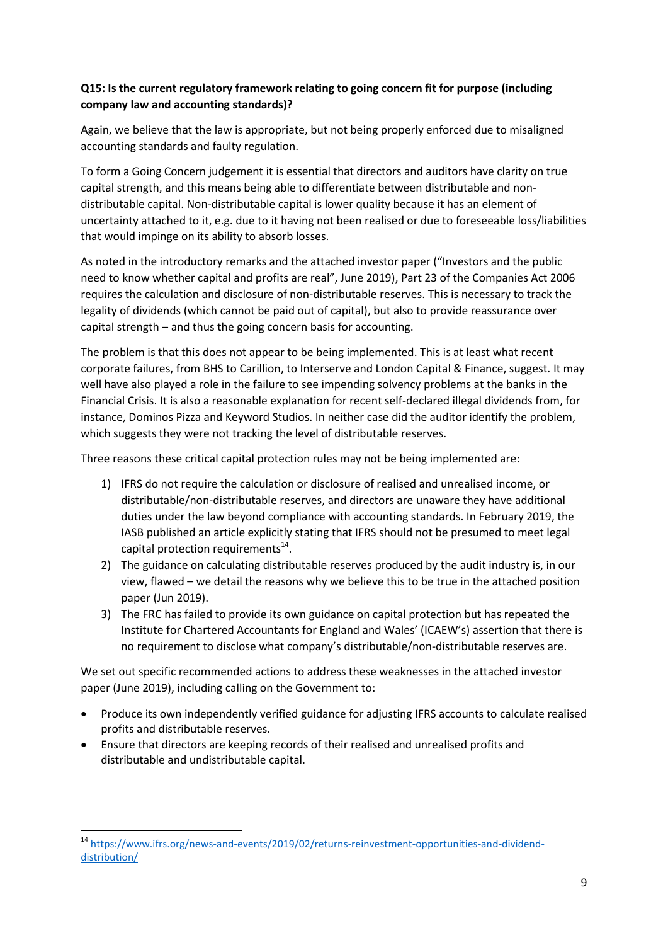## **Q15: Is the current regulatory framework relating to going concern fit for purpose (including company law and accounting standards)?**

Again, we believe that the law is appropriate, but not being properly enforced due to misaligned accounting standards and faulty regulation.

To form a Going Concern judgement it is essential that directors and auditors have clarity on true capital strength, and this means being able to differentiate between distributable and nondistributable capital. Non-distributable capital is lower quality because it has an element of uncertainty attached to it, e.g. due to it having not been realised or due to foreseeable loss/liabilities that would impinge on its ability to absorb losses.

As noted in the introductory remarks and the attached investor paper ("Investors and the public need to know whether capital and profits are real", June 2019), Part 23 of the Companies Act 2006 requires the calculation and disclosure of non-distributable reserves. This is necessary to track the legality of dividends (which cannot be paid out of capital), but also to provide reassurance over capital strength – and thus the going concern basis for accounting.

The problem is that this does not appear to be being implemented. This is at least what recent corporate failures, from BHS to Carillion, to Interserve and London Capital & Finance, suggest. It may well have also played a role in the failure to see impending solvency problems at the banks in the Financial Crisis. It is also a reasonable explanation for recent self-declared illegal dividends from, for instance, Dominos Pizza and Keyword Studios. In neither case did the auditor identify the problem, which suggests they were not tracking the level of distributable reserves.

Three reasons these critical capital protection rules may not be being implemented are:

- 1) IFRS do not require the calculation or disclosure of realised and unrealised income, or distributable/non-distributable reserves, and directors are unaware they have additional duties under the law beyond compliance with accounting standards. In February 2019, the IASB published an article explicitly stating that IFRS should not be presumed to meet legal capital protection requirements<sup>14</sup>.
- 2) The guidance on calculating distributable reserves produced by the audit industry is, in our view, flawed – we detail the reasons why we believe this to be true in the attached position paper (Jun 2019).
- 3) The FRC has failed to provide its own guidance on capital protection but has repeated the Institute for Chartered Accountants for England and Wales' (ICAEW's) assertion that there is no requirement to disclose what company's distributable/non-distributable reserves are.

We set out specific recommended actions to address these weaknesses in the attached investor paper (June 2019), including calling on the Government to:

- Produce its own independently verified guidance for adjusting IFRS accounts to calculate realised profits and distributable reserves.
- Ensure that directors are keeping records of their realised and unrealised profits and distributable and undistributable capital.

**<sup>.</sup>** <sup>14</sup> [https://www.ifrs.org/news-and-events/2019/02/returns-reinvestment-opportunities-and-dividend](https://www.ifrs.org/news-and-events/2019/02/returns-reinvestment-opportunities-and-dividend-distribution/)[distribution/](https://www.ifrs.org/news-and-events/2019/02/returns-reinvestment-opportunities-and-dividend-distribution/)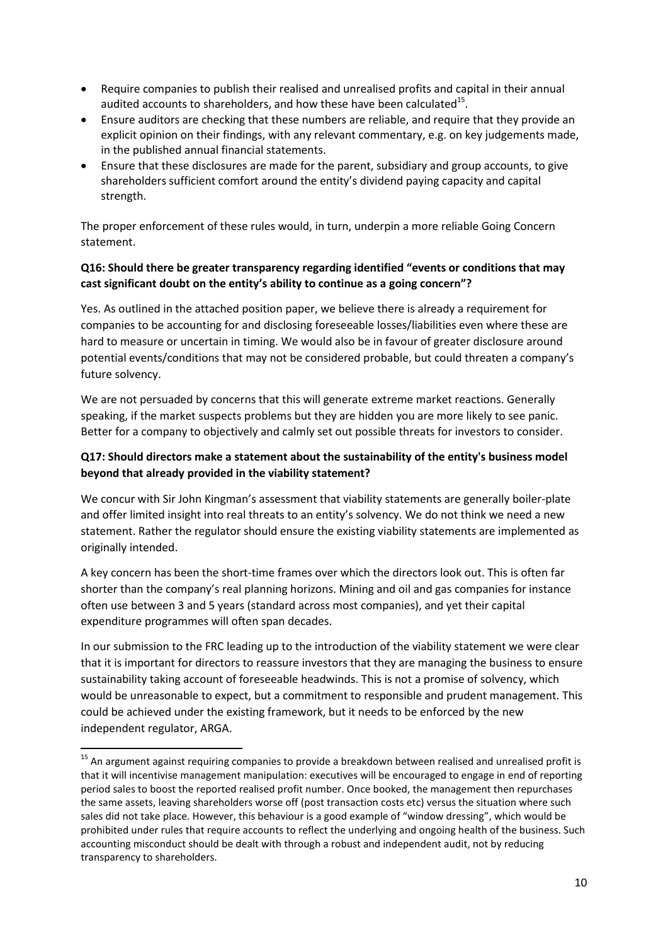- Require companies to publish their realised and unrealised profits and capital in their annual audited accounts to shareholders, and how these have been calculated $^{15}$ .
- Ensure auditors are checking that these numbers are reliable, and require that they provide an explicit opinion on their findings, with any relevant commentary, e.g. on key judgements made, in the published annual financial statements.
- Ensure that these disclosures are made for the parent, subsidiary and group accounts, to give shareholders sufficient comfort around the entity's dividend paying capacity and capital strength.

The proper enforcement of these rules would, in turn, underpin a more reliable Going Concern statement.

#### **Q16: Should there be greater transparency regarding identified "events or conditions that may cast significant doubt on the entity's ability to continue as a going concern"?**

Yes. As outlined in the attached position paper, we believe there is already a requirement for companies to be accounting for and disclosing foreseeable losses/liabilities even where these are hard to measure or uncertain in timing. We would also be in favour of greater disclosure around potential events/conditions that may not be considered probable, but could threaten a company's future solvency.

We are not persuaded by concerns that this will generate extreme market reactions. Generally speaking, if the market suspects problems but they are hidden you are more likely to see panic. Better for a company to objectively and calmly set out possible threats for investors to consider.

## **Q17: Should directors make a statement about the sustainability of the entity's business model beyond that already provided in the viability statement?**

We concur with Sir John Kingman's assessment that viability statements are generally boiler-plate and offer limited insight into real threats to an entity's solvency. We do not think we need a new statement. Rather the regulator should ensure the existing viability statements are implemented as originally intended.

A key concern has been the short-time frames over which the directors look out. This is often far shorter than the company's real planning horizons. Mining and oil and gas companies for instance often use between 3 and 5 years (standard across most companies), and yet their capital expenditure programmes will often span decades.

In our submission to the FRC leading up to the introduction of the viability statement we were clear that it is important for directors to reassure investors that they are managing the business to ensure sustainability taking account of foreseeable headwinds. This is not a promise of solvency, which would be unreasonable to expect, but a commitment to responsible and prudent management. This could be achieved under the existing framework, but it needs to be enforced by the new independent regulator, ARGA.

**.** 

<sup>&</sup>lt;sup>15</sup> An argument against requiring companies to provide a breakdown between realised and unrealised profit is that it will incentivise management manipulation: executives will be encouraged to engage in end of reporting period sales to boost the reported realised profit number. Once booked, the management then repurchases the same assets, leaving shareholders worse off (post transaction costs etc) versus the situation where such sales did not take place. However, this behaviour is a good example of "window dressing", which would be prohibited under rules that require accounts to reflect the underlying and ongoing health of the business. Such accounting misconduct should be dealt with through a robust and independent audit, not by reducing transparency to shareholders.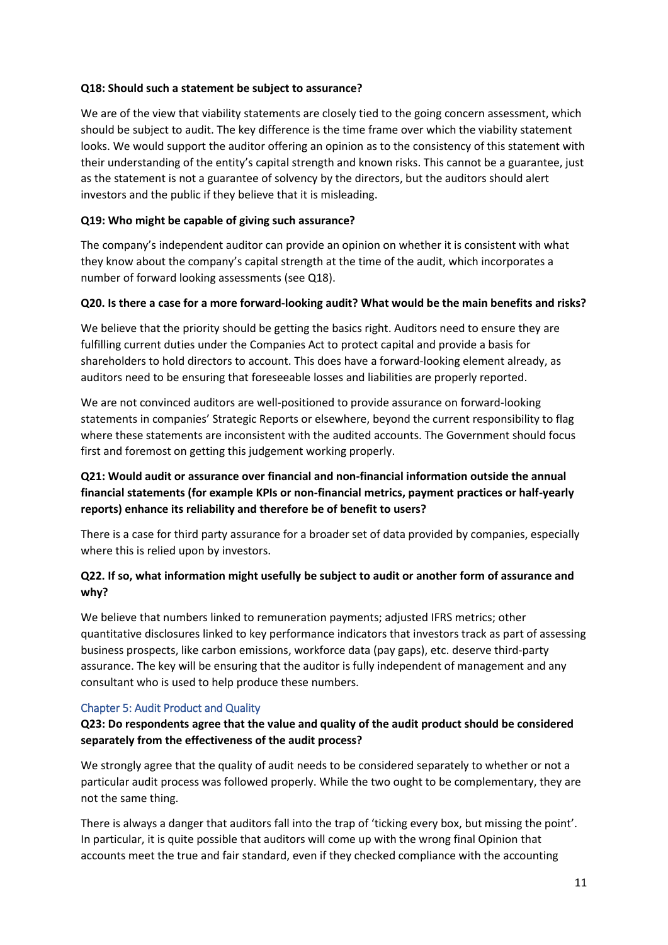#### **Q18: Should such a statement be subject to assurance?**

We are of the view that viability statements are closely tied to the going concern assessment, which should be subject to audit. The key difference is the time frame over which the viability statement looks. We would support the auditor offering an opinion as to the consistency of this statement with their understanding of the entity's capital strength and known risks. This cannot be a guarantee, just as the statement is not a guarantee of solvency by the directors, but the auditors should alert investors and the public if they believe that it is misleading.

#### **Q19: Who might be capable of giving such assurance?**

The company's independent auditor can provide an opinion on whether it is consistent with what they know about the company's capital strength at the time of the audit, which incorporates a number of forward looking assessments (see Q18).

#### **Q20. Is there a case for a more forward-looking audit? What would be the main benefits and risks?**

We believe that the priority should be getting the basics right. Auditors need to ensure they are fulfilling current duties under the Companies Act to protect capital and provide a basis for shareholders to hold directors to account. This does have a forward-looking element already, as auditors need to be ensuring that foreseeable losses and liabilities are properly reported.

We are not convinced auditors are well-positioned to provide assurance on forward-looking statements in companies' Strategic Reports or elsewhere, beyond the current responsibility to flag where these statements are inconsistent with the audited accounts. The Government should focus first and foremost on getting this judgement working properly.

# **Q21: Would audit or assurance over financial and non-financial information outside the annual financial statements (for example KPIs or non-financial metrics, payment practices or half-yearly reports) enhance its reliability and therefore be of benefit to users?**

There is a case for third party assurance for a broader set of data provided by companies, especially where this is relied upon by investors.

## **Q22. If so, what information might usefully be subject to audit or another form of assurance and why?**

We believe that numbers linked to remuneration payments; adjusted IFRS metrics; other quantitative disclosures linked to key performance indicators that investors track as part of assessing business prospects, like carbon emissions, workforce data (pay gaps), etc. deserve third-party assurance. The key will be ensuring that the auditor is fully independent of management and any consultant who is used to help produce these numbers.

#### Chapter 5: Audit Product and Quality

## **Q23: Do respondents agree that the value and quality of the audit product should be considered separately from the effectiveness of the audit process?**

We strongly agree that the quality of audit needs to be considered separately to whether or not a particular audit process was followed properly. While the two ought to be complementary, they are not the same thing.

There is always a danger that auditors fall into the trap of 'ticking every box, but missing the point'. In particular, it is quite possible that auditors will come up with the wrong final Opinion that accounts meet the true and fair standard, even if they checked compliance with the accounting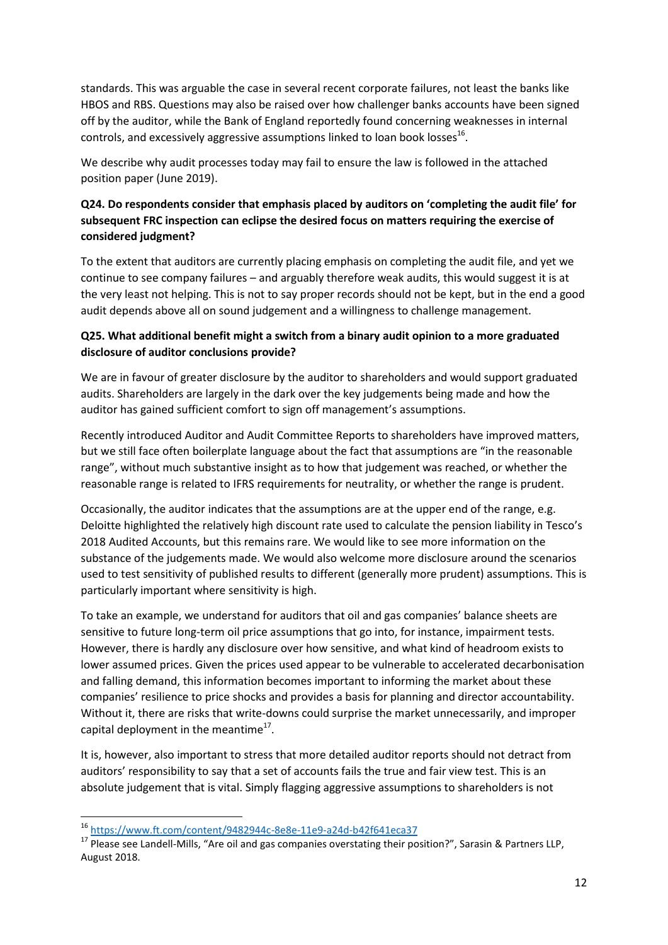standards. This was arguable the case in several recent corporate failures, not least the banks like HBOS and RBS. Questions may also be raised over how challenger banks accounts have been signed off by the auditor, while the Bank of England reportedly found concerning weaknesses in internal controls, and excessively aggressive assumptions linked to loan book losses $^{16}$ .

We describe why audit processes today may fail to ensure the law is followed in the attached position paper (June 2019).

# **Q24. Do respondents consider that emphasis placed by auditors on 'completing the audit file' for subsequent FRC inspection can eclipse the desired focus on matters requiring the exercise of considered judgment?**

To the extent that auditors are currently placing emphasis on completing the audit file, and yet we continue to see company failures – and arguably therefore weak audits, this would suggest it is at the very least not helping. This is not to say proper records should not be kept, but in the end a good audit depends above all on sound judgement and a willingness to challenge management.

## **Q25. What additional benefit might a switch from a binary audit opinion to a more graduated disclosure of auditor conclusions provide?**

We are in favour of greater disclosure by the auditor to shareholders and would support graduated audits. Shareholders are largely in the dark over the key judgements being made and how the auditor has gained sufficient comfort to sign off management's assumptions.

Recently introduced Auditor and Audit Committee Reports to shareholders have improved matters, but we still face often boilerplate language about the fact that assumptions are "in the reasonable range", without much substantive insight as to how that judgement was reached, or whether the reasonable range is related to IFRS requirements for neutrality, or whether the range is prudent.

Occasionally, the auditor indicates that the assumptions are at the upper end of the range, e.g. Deloitte highlighted the relatively high discount rate used to calculate the pension liability in Tesco's 2018 Audited Accounts, but this remains rare. We would like to see more information on the substance of the judgements made. We would also welcome more disclosure around the scenarios used to test sensitivity of published results to different (generally more prudent) assumptions. This is particularly important where sensitivity is high.

To take an example, we understand for auditors that oil and gas companies' balance sheets are sensitive to future long-term oil price assumptions that go into, for instance, impairment tests. However, there is hardly any disclosure over how sensitive, and what kind of headroom exists to lower assumed prices. Given the prices used appear to be vulnerable to accelerated decarbonisation and falling demand, this information becomes important to informing the market about these companies' resilience to price shocks and provides a basis for planning and director accountability. Without it, there are risks that write-downs could surprise the market unnecessarily, and improper capital deployment in the meantime $^{17}$ .

It is, however, also important to stress that more detailed auditor reports should not detract from auditors' responsibility to say that a set of accounts fails the true and fair view test. This is an absolute judgement that is vital. Simply flagging aggressive assumptions to shareholders is not

**.** 

<sup>16</sup> <https://www.ft.com/content/9482944c-8e8e-11e9-a24d-b42f641eca37>

<sup>17</sup> Please see Landell-Mills, "Are oil and gas companies overstating their position?", Sarasin & Partners LLP, August 2018.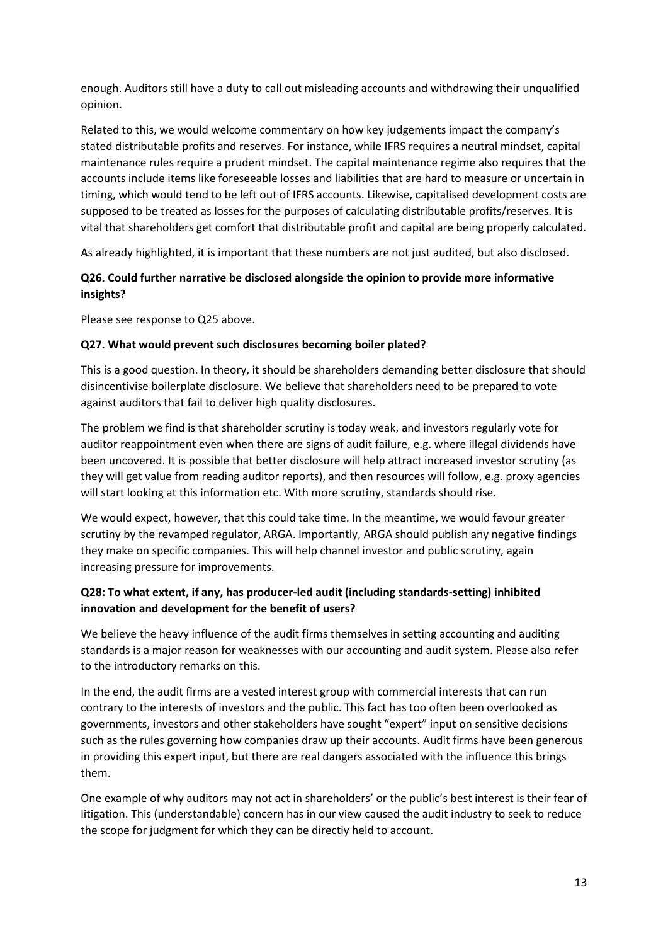enough. Auditors still have a duty to call out misleading accounts and withdrawing their unqualified opinion.

Related to this, we would welcome commentary on how key judgements impact the company's stated distributable profits and reserves. For instance, while IFRS requires a neutral mindset, capital maintenance rules require a prudent mindset. The capital maintenance regime also requires that the accounts include items like foreseeable losses and liabilities that are hard to measure or uncertain in timing, which would tend to be left out of IFRS accounts. Likewise, capitalised development costs are supposed to be treated as losses for the purposes of calculating distributable profits/reserves. It is vital that shareholders get comfort that distributable profit and capital are being properly calculated.

As already highlighted, it is important that these numbers are not just audited, but also disclosed.

#### **Q26. Could further narrative be disclosed alongside the opinion to provide more informative insights?**

Please see response to Q25 above.

#### **Q27. What would prevent such disclosures becoming boiler plated?**

This is a good question. In theory, it should be shareholders demanding better disclosure that should disincentivise boilerplate disclosure. We believe that shareholders need to be prepared to vote against auditors that fail to deliver high quality disclosures.

The problem we find is that shareholder scrutiny is today weak, and investors regularly vote for auditor reappointment even when there are signs of audit failure, e.g. where illegal dividends have been uncovered. It is possible that better disclosure will help attract increased investor scrutiny (as they will get value from reading auditor reports), and then resources will follow, e.g. proxy agencies will start looking at this information etc. With more scrutiny, standards should rise.

We would expect, however, that this could take time. In the meantime, we would favour greater scrutiny by the revamped regulator, ARGA. Importantly, ARGA should publish any negative findings they make on specific companies. This will help channel investor and public scrutiny, again increasing pressure for improvements.

## **Q28: To what extent, if any, has producer-led audit (including standards-setting) inhibited innovation and development for the benefit of users?**

We believe the heavy influence of the audit firms themselves in setting accounting and auditing standards is a major reason for weaknesses with our accounting and audit system. Please also refer to the introductory remarks on this.

In the end, the audit firms are a vested interest group with commercial interests that can run contrary to the interests of investors and the public. This fact has too often been overlooked as governments, investors and other stakeholders have sought "expert" input on sensitive decisions such as the rules governing how companies draw up their accounts. Audit firms have been generous in providing this expert input, but there are real dangers associated with the influence this brings them.

One example of why auditors may not act in shareholders' or the public's best interest is their fear of litigation. This (understandable) concern has in our view caused the audit industry to seek to reduce the scope for judgment for which they can be directly held to account.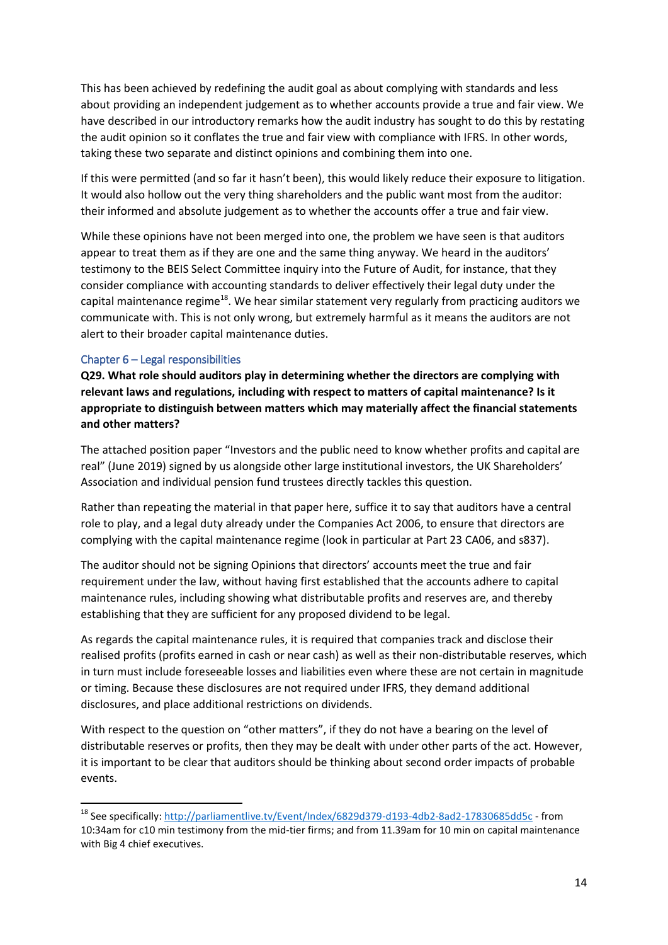This has been achieved by redefining the audit goal as about complying with standards and less about providing an independent judgement as to whether accounts provide a true and fair view. We have described in our introductory remarks how the audit industry has sought to do this by restating the audit opinion so it conflates the true and fair view with compliance with IFRS. In other words, taking these two separate and distinct opinions and combining them into one.

If this were permitted (and so far it hasn't been), this would likely reduce their exposure to litigation. It would also hollow out the very thing shareholders and the public want most from the auditor: their informed and absolute judgement as to whether the accounts offer a true and fair view.

While these opinions have not been merged into one, the problem we have seen is that auditors appear to treat them as if they are one and the same thing anyway. We heard in the auditors' testimony to the BEIS Select Committee inquiry into the Future of Audit, for instance, that they consider compliance with accounting standards to deliver effectively their legal duty under the capital maintenance regime<sup>18</sup>. We hear similar statement very regularly from practicing auditors we communicate with. This is not only wrong, but extremely harmful as it means the auditors are not alert to their broader capital maintenance duties.

#### Chapter 6 – Legal responsibilities

**.** 

**Q29. What role should auditors play in determining whether the directors are complying with relevant laws and regulations, including with respect to matters of capital maintenance? Is it appropriate to distinguish between matters which may materially affect the financial statements and other matters?** 

The attached position paper "Investors and the public need to know whether profits and capital are real" (June 2019) signed by us alongside other large institutional investors, the UK Shareholders' Association and individual pension fund trustees directly tackles this question.

Rather than repeating the material in that paper here, suffice it to say that auditors have a central role to play, and a legal duty already under the Companies Act 2006, to ensure that directors are complying with the capital maintenance regime (look in particular at Part 23 CA06, and s837).

The auditor should not be signing Opinions that directors' accounts meet the true and fair requirement under the law, without having first established that the accounts adhere to capital maintenance rules, including showing what distributable profits and reserves are, and thereby establishing that they are sufficient for any proposed dividend to be legal.

As regards the capital maintenance rules, it is required that companies track and disclose their realised profits (profits earned in cash or near cash) as well as their non-distributable reserves, which in turn must include foreseeable losses and liabilities even where these are not certain in magnitude or timing. Because these disclosures are not required under IFRS, they demand additional disclosures, and place additional restrictions on dividends.

With respect to the question on "other matters", if they do not have a bearing on the level of distributable reserves or profits, then they may be dealt with under other parts of the act. However, it is important to be clear that auditors should be thinking about second order impacts of probable events.

<sup>&</sup>lt;sup>18</sup> See specifically[: http://parliamentlive.tv/Event/Index/6829d379-d193-4db2-8ad2-17830685dd5c](http://parliamentlive.tv/Event/Index/6829d379-d193-4db2-8ad2-17830685dd5c) - from 10:34am for c10 min testimony from the mid-tier firms; and from 11.39am for 10 min on capital maintenance with Big 4 chief executives.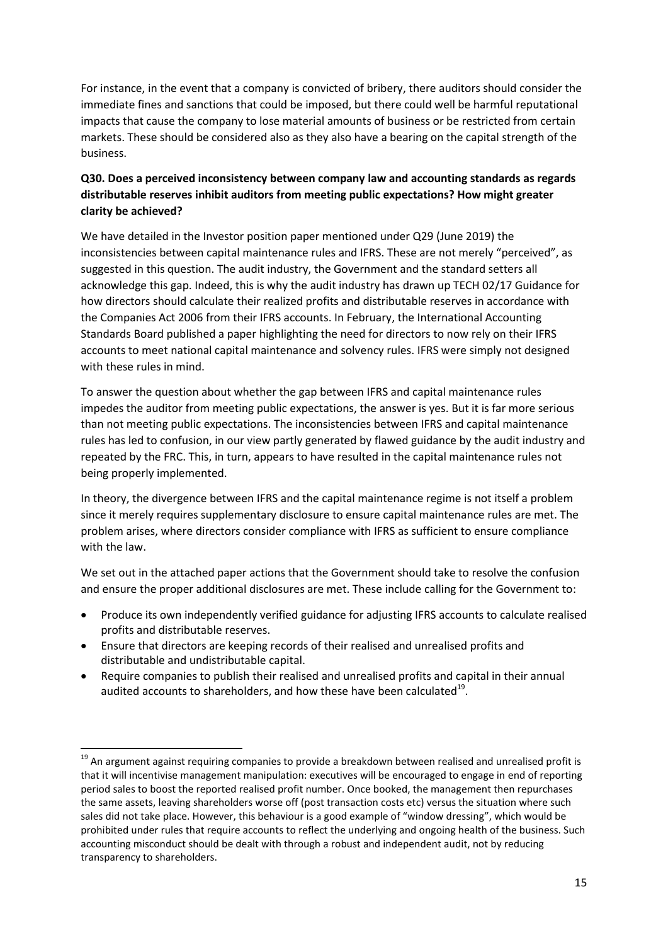For instance, in the event that a company is convicted of bribery, there auditors should consider the immediate fines and sanctions that could be imposed, but there could well be harmful reputational impacts that cause the company to lose material amounts of business or be restricted from certain markets. These should be considered also as they also have a bearing on the capital strength of the business.

# **Q30. Does a perceived inconsistency between company law and accounting standards as regards distributable reserves inhibit auditors from meeting public expectations? How might greater clarity be achieved?**

We have detailed in the Investor position paper mentioned under Q29 (June 2019) the inconsistencies between capital maintenance rules and IFRS. These are not merely "perceived", as suggested in this question. The audit industry, the Government and the standard setters all acknowledge this gap. Indeed, this is why the audit industry has drawn up TECH 02/17 Guidance for how directors should calculate their realized profits and distributable reserves in accordance with the Companies Act 2006 from their IFRS accounts. In February, the International Accounting Standards Board published a paper highlighting the need for directors to now rely on their IFRS accounts to meet national capital maintenance and solvency rules. IFRS were simply not designed with these rules in mind.

To answer the question about whether the gap between IFRS and capital maintenance rules impedes the auditor from meeting public expectations, the answer is yes. But it is far more serious than not meeting public expectations. The inconsistencies between IFRS and capital maintenance rules has led to confusion, in our view partly generated by flawed guidance by the audit industry and repeated by the FRC. This, in turn, appears to have resulted in the capital maintenance rules not being properly implemented.

In theory, the divergence between IFRS and the capital maintenance regime is not itself a problem since it merely requires supplementary disclosure to ensure capital maintenance rules are met. The problem arises, where directors consider compliance with IFRS as sufficient to ensure compliance with the law.

We set out in the attached paper actions that the Government should take to resolve the confusion and ensure the proper additional disclosures are met. These include calling for the Government to:

- Produce its own independently verified guidance for adjusting IFRS accounts to calculate realised profits and distributable reserves.
- Ensure that directors are keeping records of their realised and unrealised profits and distributable and undistributable capital.

**.** 

 Require companies to publish their realised and unrealised profits and capital in their annual audited accounts to shareholders, and how these have been calculated $^{19}$ .

<sup>&</sup>lt;sup>19</sup> An argument against requiring companies to provide a breakdown between realised and unrealised profit is that it will incentivise management manipulation: executives will be encouraged to engage in end of reporting period sales to boost the reported realised profit number. Once booked, the management then repurchases the same assets, leaving shareholders worse off (post transaction costs etc) versus the situation where such sales did not take place. However, this behaviour is a good example of "window dressing", which would be prohibited under rules that require accounts to reflect the underlying and ongoing health of the business. Such accounting misconduct should be dealt with through a robust and independent audit, not by reducing transparency to shareholders.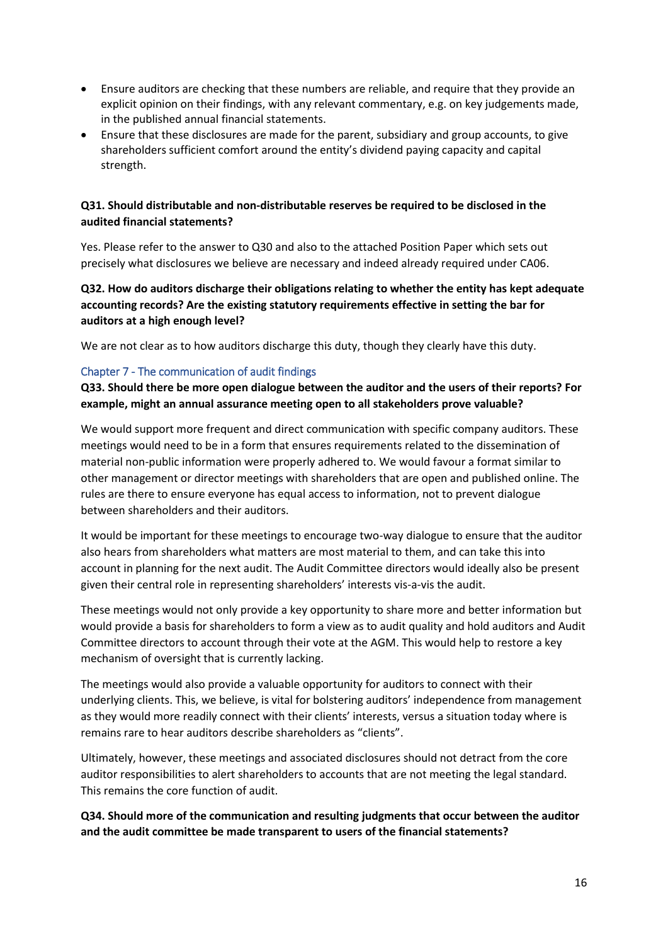- Ensure auditors are checking that these numbers are reliable, and require that they provide an explicit opinion on their findings, with any relevant commentary, e.g. on key judgements made, in the published annual financial statements.
- Ensure that these disclosures are made for the parent, subsidiary and group accounts, to give shareholders sufficient comfort around the entity's dividend paying capacity and capital strength.

#### **Q31. Should distributable and non-distributable reserves be required to be disclosed in the audited financial statements?**

Yes. Please refer to the answer to Q30 and also to the attached Position Paper which sets out precisely what disclosures we believe are necessary and indeed already required under CA06.

## **Q32. How do auditors discharge their obligations relating to whether the entity has kept adequate accounting records? Are the existing statutory requirements effective in setting the bar for auditors at a high enough level?**

We are not clear as to how auditors discharge this duty, though they clearly have this duty.

#### Chapter 7 - The communication of audit findings

**Q33. Should there be more open dialogue between the auditor and the users of their reports? For example, might an annual assurance meeting open to all stakeholders prove valuable?** 

We would support more frequent and direct communication with specific company auditors. These meetings would need to be in a form that ensures requirements related to the dissemination of material non-public information were properly adhered to. We would favour a format similar to other management or director meetings with shareholders that are open and published online. The rules are there to ensure everyone has equal access to information, not to prevent dialogue between shareholders and their auditors.

It would be important for these meetings to encourage two-way dialogue to ensure that the auditor also hears from shareholders what matters are most material to them, and can take this into account in planning for the next audit. The Audit Committee directors would ideally also be present given their central role in representing shareholders' interests vis-a-vis the audit.

These meetings would not only provide a key opportunity to share more and better information but would provide a basis for shareholders to form a view as to audit quality and hold auditors and Audit Committee directors to account through their vote at the AGM. This would help to restore a key mechanism of oversight that is currently lacking.

The meetings would also provide a valuable opportunity for auditors to connect with their underlying clients. This, we believe, is vital for bolstering auditors' independence from management as they would more readily connect with their clients' interests, versus a situation today where is remains rare to hear auditors describe shareholders as "clients".

Ultimately, however, these meetings and associated disclosures should not detract from the core auditor responsibilities to alert shareholders to accounts that are not meeting the legal standard. This remains the core function of audit.

**Q34. Should more of the communication and resulting judgments that occur between the auditor and the audit committee be made transparent to users of the financial statements?**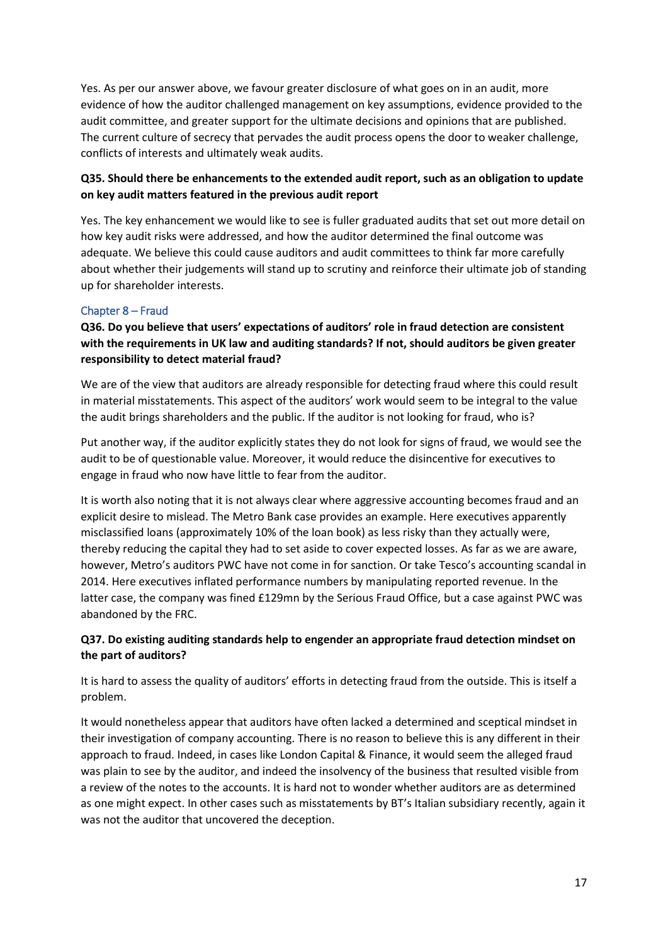Yes. As per our answer above, we favour greater disclosure of what goes on in an audit, more evidence of how the auditor challenged management on key assumptions, evidence provided to the audit committee, and greater support for the ultimate decisions and opinions that are published. The current culture of secrecy that pervades the audit process opens the door to weaker challenge, conflicts of interests and ultimately weak audits.

## **Q35. Should there be enhancements to the extended audit report, such as an obligation to update on key audit matters featured in the previous audit report**

Yes. The key enhancement we would like to see is fuller graduated audits that set out more detail on how key audit risks were addressed, and how the auditor determined the final outcome was adequate. We believe this could cause auditors and audit committees to think far more carefully about whether their judgements will stand up to scrutiny and reinforce their ultimate job of standing up for shareholder interests.

#### Chapter 8 – Fraud

**Q36. Do you believe that users' expectations of auditors' role in fraud detection are consistent with the requirements in UK law and auditing standards? If not, should auditors be given greater responsibility to detect material fraud?** 

We are of the view that auditors are already responsible for detecting fraud where this could result in material misstatements. This aspect of the auditors' work would seem to be integral to the value the audit brings shareholders and the public. If the auditor is not looking for fraud, who is?

Put another way, if the auditor explicitly states they do not look for signs of fraud, we would see the audit to be of questionable value. Moreover, it would reduce the disincentive for executives to engage in fraud who now have little to fear from the auditor.

It is worth also noting that it is not always clear where aggressive accounting becomes fraud and an explicit desire to mislead. The Metro Bank case provides an example. Here executives apparently misclassified loans (approximately 10% of the loan book) as less risky than they actually were, thereby reducing the capital they had to set aside to cover expected losses. As far as we are aware, however, Metro's auditors PWC have not come in for sanction. Or take Tesco's accounting scandal in 2014. Here executives inflated performance numbers by manipulating reported revenue. In the latter case, the company was fined £129mn by the Serious Fraud Office, but a case against PWC was abandoned by the FRC.

## **Q37. Do existing auditing standards help to engender an appropriate fraud detection mindset on the part of auditors?**

It is hard to assess the quality of auditors' efforts in detecting fraud from the outside. This is itself a problem.

It would nonetheless appear that auditors have often lacked a determined and sceptical mindset in their investigation of company accounting. There is no reason to believe this is any different in their approach to fraud. Indeed, in cases like London Capital & Finance, it would seem the alleged fraud was plain to see by the auditor, and indeed the insolvency of the business that resulted visible from a review of the notes to the accounts. It is hard not to wonder whether auditors are as determined as one might expect. In other cases such as misstatements by BT's Italian subsidiary recently, again it was not the auditor that uncovered the deception.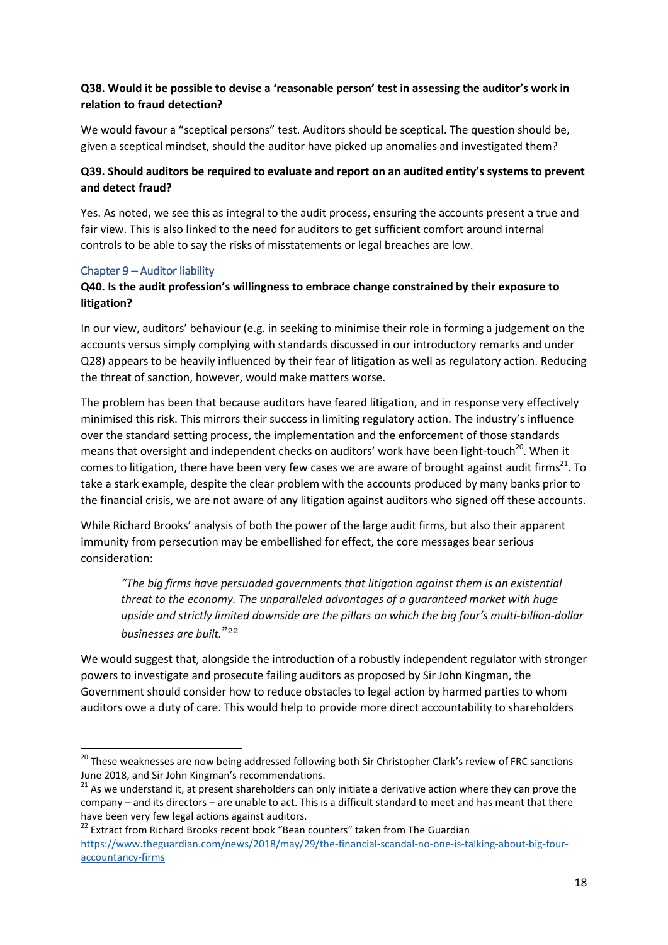## **Q38. Would it be possible to devise a 'reasonable person' test in assessing the auditor's work in relation to fraud detection?**

We would favour a "sceptical persons" test. Auditors should be sceptical. The question should be, given a sceptical mindset, should the auditor have picked up anomalies and investigated them?

# **Q39. Should auditors be required to evaluate and report on an audited entity's systems to prevent and detect fraud?**

Yes. As noted, we see this as integral to the audit process, ensuring the accounts present a true and fair view. This is also linked to the need for auditors to get sufficient comfort around internal controls to be able to say the risks of misstatements or legal breaches are low.

#### Chapter 9 – Auditor liability

**.** 

## **Q40. Is the audit profession's willingness to embrace change constrained by their exposure to litigation?**

In our view, auditors' behaviour (e.g. in seeking to minimise their role in forming a judgement on the accounts versus simply complying with standards discussed in our introductory remarks and under Q28) appears to be heavily influenced by their fear of litigation as well as regulatory action. Reducing the threat of sanction, however, would make matters worse.

The problem has been that because auditors have feared litigation, and in response very effectively minimised this risk. This mirrors their success in limiting regulatory action. The industry's influence over the standard setting process, the implementation and the enforcement of those standards means that oversight and independent checks on auditors' work have been light-touch<sup>20</sup>. When it comes to litigation, there have been very few cases we are aware of brought against audit firms<sup>21</sup>. To take a stark example, despite the clear problem with the accounts produced by many banks prior to the financial crisis, we are not aware of any litigation against auditors who signed off these accounts.

While Richard Brooks' analysis of both the power of the large audit firms, but also their apparent immunity from persecution may be embellished for effect, the core messages bear serious consideration:

*"The big firms have persuaded governments that litigation against them is an existential threat to the economy. The unparalleled advantages of a guaranteed market with huge upside and strictly limited downside are the pillars on which the big four's multi-billion-dollar businesses are built.*" 22

We would suggest that, alongside the introduction of a robustly independent regulator with stronger powers to investigate and prosecute failing auditors as proposed by Sir John Kingman, the Government should consider how to reduce obstacles to legal action by harmed parties to whom auditors owe a duty of care. This would help to provide more direct accountability to shareholders

<sup>&</sup>lt;sup>20</sup> These weaknesses are now being addressed following both Sir Christopher Clark's review of FRC sanctions June 2018, and Sir John Kingman's recommendations.

<sup>&</sup>lt;sup>21</sup> As we understand it, at present shareholders can only initiate a derivative action where they can prove the company – and its directors – are unable to act. This is a difficult standard to meet and has meant that there have been very few legal actions against auditors.

 $22$  Extract from Richard Brooks recent book "Bean counters" taken from The Guardian [https://www.theguardian.com/news/2018/may/29/the-financial-scandal-no-one-is-talking-about-big-four](https://www.theguardian.com/news/2018/may/29/the-financial-scandal-no-one-is-talking-about-big-four-accountancy-firms)[accountancy-firms](https://www.theguardian.com/news/2018/may/29/the-financial-scandal-no-one-is-talking-about-big-four-accountancy-firms)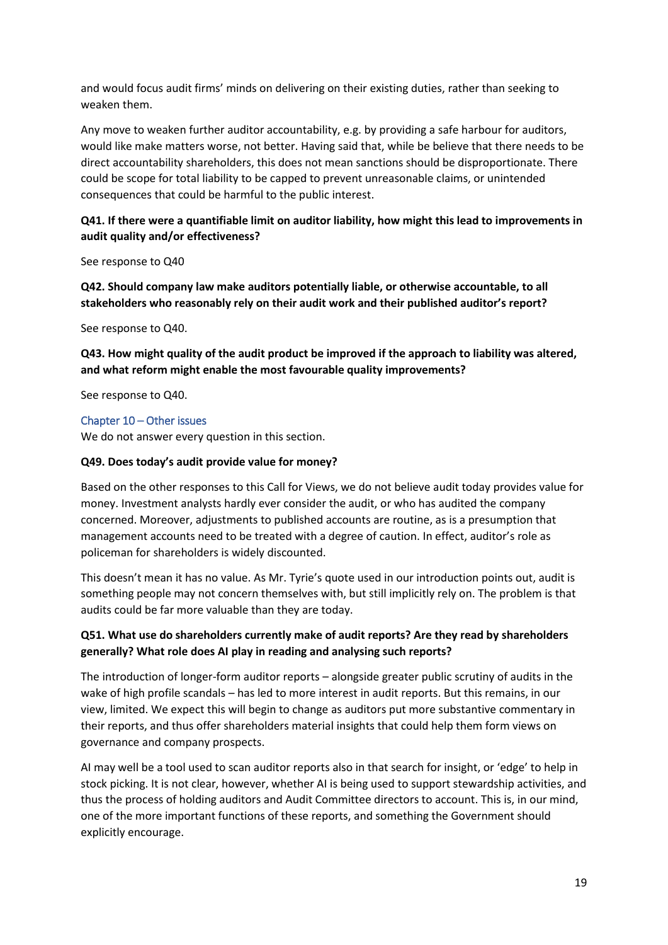and would focus audit firms' minds on delivering on their existing duties, rather than seeking to weaken them.

Any move to weaken further auditor accountability, e.g. by providing a safe harbour for auditors, would like make matters worse, not better. Having said that, while be believe that there needs to be direct accountability shareholders, this does not mean sanctions should be disproportionate. There could be scope for total liability to be capped to prevent unreasonable claims, or unintended consequences that could be harmful to the public interest.

#### **Q41. If there were a quantifiable limit on auditor liability, how might this lead to improvements in audit quality and/or effectiveness?**

See response to Q40

**Q42. Should company law make auditors potentially liable, or otherwise accountable, to all stakeholders who reasonably rely on their audit work and their published auditor's report?** 

See response to Q40.

**Q43. How might quality of the audit product be improved if the approach to liability was altered, and what reform might enable the most favourable quality improvements?** 

See response to Q40.

#### Chapter 10 – Other issues

We do not answer every question in this section.

#### **Q49. Does today's audit provide value for money?**

Based on the other responses to this Call for Views, we do not believe audit today provides value for money. Investment analysts hardly ever consider the audit, or who has audited the company concerned. Moreover, adjustments to published accounts are routine, as is a presumption that management accounts need to be treated with a degree of caution. In effect, auditor's role as policeman for shareholders is widely discounted.

This doesn't mean it has no value. As Mr. Tyrie's quote used in our introduction points out, audit is something people may not concern themselves with, but still implicitly rely on. The problem is that audits could be far more valuable than they are today.

#### **Q51. What use do shareholders currently make of audit reports? Are they read by shareholders generally? What role does AI play in reading and analysing such reports?**

The introduction of longer-form auditor reports – alongside greater public scrutiny of audits in the wake of high profile scandals – has led to more interest in audit reports. But this remains, in our view, limited. We expect this will begin to change as auditors put more substantive commentary in their reports, and thus offer shareholders material insights that could help them form views on governance and company prospects.

AI may well be a tool used to scan auditor reports also in that search for insight, or 'edge' to help in stock picking. It is not clear, however, whether AI is being used to support stewardship activities, and thus the process of holding auditors and Audit Committee directors to account. This is, in our mind, one of the more important functions of these reports, and something the Government should explicitly encourage.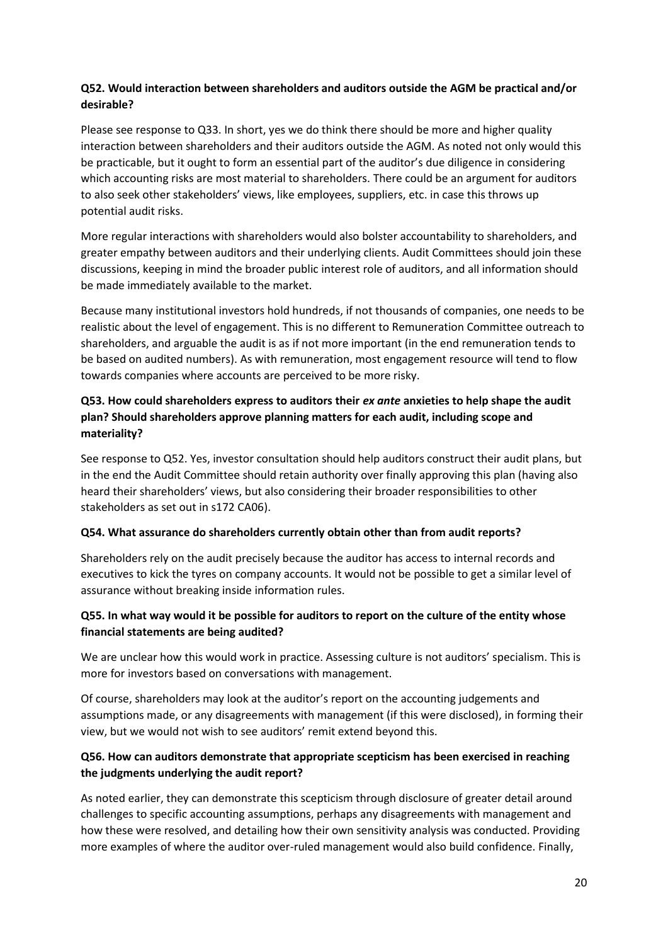#### **Q52. Would interaction between shareholders and auditors outside the AGM be practical and/or desirable?**

Please see response to Q33. In short, yes we do think there should be more and higher quality interaction between shareholders and their auditors outside the AGM. As noted not only would this be practicable, but it ought to form an essential part of the auditor's due diligence in considering which accounting risks are most material to shareholders. There could be an argument for auditors to also seek other stakeholders' views, like employees, suppliers, etc. in case this throws up potential audit risks.

More regular interactions with shareholders would also bolster accountability to shareholders, and greater empathy between auditors and their underlying clients. Audit Committees should join these discussions, keeping in mind the broader public interest role of auditors, and all information should be made immediately available to the market.

Because many institutional investors hold hundreds, if not thousands of companies, one needs to be realistic about the level of engagement. This is no different to Remuneration Committee outreach to shareholders, and arguable the audit is as if not more important (in the end remuneration tends to be based on audited numbers). As with remuneration, most engagement resource will tend to flow towards companies where accounts are perceived to be more risky.

# **Q53. How could shareholders express to auditors their** *ex ante* **anxieties to help shape the audit plan? Should shareholders approve planning matters for each audit, including scope and materiality?**

See response to Q52. Yes, investor consultation should help auditors construct their audit plans, but in the end the Audit Committee should retain authority over finally approving this plan (having also heard their shareholders' views, but also considering their broader responsibilities to other stakeholders as set out in s172 CA06).

#### **Q54. What assurance do shareholders currently obtain other than from audit reports?**

Shareholders rely on the audit precisely because the auditor has access to internal records and executives to kick the tyres on company accounts. It would not be possible to get a similar level of assurance without breaking inside information rules.

#### **Q55. In what way would it be possible for auditors to report on the culture of the entity whose financial statements are being audited?**

We are unclear how this would work in practice. Assessing culture is not auditors' specialism. This is more for investors based on conversations with management.

Of course, shareholders may look at the auditor's report on the accounting judgements and assumptions made, or any disagreements with management (if this were disclosed), in forming their view, but we would not wish to see auditors' remit extend beyond this.

## **Q56. How can auditors demonstrate that appropriate scepticism has been exercised in reaching the judgments underlying the audit report?**

As noted earlier, they can demonstrate this scepticism through disclosure of greater detail around challenges to specific accounting assumptions, perhaps any disagreements with management and how these were resolved, and detailing how their own sensitivity analysis was conducted. Providing more examples of where the auditor over-ruled management would also build confidence. Finally,